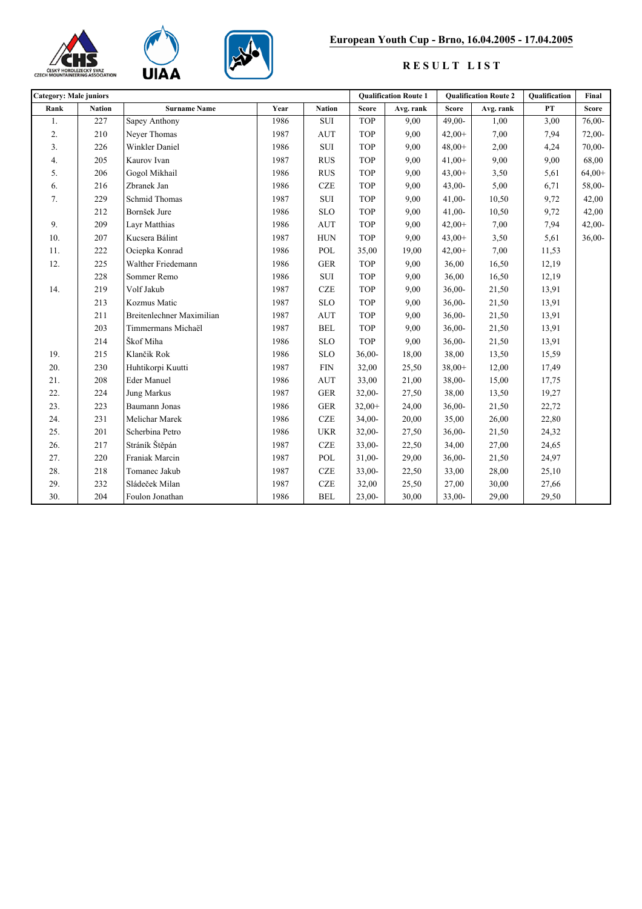





## **European Youth Cup - Brno, 16.04.2005 - 17.04.2005**

## **R E S U L T L I S T**

| <b>Category: Male juniors</b> |               |                           |      |               | <b>Qualification Route 1</b> |           | <b>Oualification Route 2</b> |           | Qualification | Final        |
|-------------------------------|---------------|---------------------------|------|---------------|------------------------------|-----------|------------------------------|-----------|---------------|--------------|
| Rank                          | <b>Nation</b> | <b>Surname Name</b>       | Year | <b>Nation</b> | <b>Score</b>                 | Avg. rank | <b>Score</b>                 | Avg. rank | ${\bf PT}$    | <b>Score</b> |
| 1.                            | 227           | Sapey Anthony             | 1986 | <b>SUI</b>    | <b>TOP</b>                   | 9,00      | $49,00-$                     | 1,00      | 3,00          | 76,00-       |
| 2.                            | 210           | Neyer Thomas              | 1987 | <b>AUT</b>    | <b>TOP</b>                   | 9,00      | $42,00+$                     | 7,00      | 7,94          | 72,00-       |
| 3.                            | 226           | Winkler Daniel            | 1986 | ${\rm SUI}$   | <b>TOP</b>                   | 9,00      | $48,00+$                     | 2,00      | 4,24          | 70,00-       |
| 4.                            | 205           | Kaurov Ivan               | 1987 | <b>RUS</b>    | <b>TOP</b>                   | 9,00      | $41,00+$                     | 9,00      | 9,00          | 68,00        |
| 5.                            | 206           | Gogol Mikhail             | 1986 | <b>RUS</b>    | <b>TOP</b>                   | 9,00      | $43,00+$                     | 3,50      | 5,61          | $64,00+$     |
| 6.                            | 216           | Zbranek Jan               | 1986 | <b>CZE</b>    | <b>TOP</b>                   | 9,00      | $43,00-$                     | 5,00      | 6,71          | 58,00-       |
| 7.                            | 229           | Schmid Thomas             | 1987 | ${\rm SUI}$   | <b>TOP</b>                   | 9,00      | $41,00-$                     | 10,50     | 9,72          | 42,00        |
|                               | 212           | Bornšek Jure              | 1986 | <b>SLO</b>    | <b>TOP</b>                   | 9,00      | $41,00-$                     | 10,50     | 9,72          | 42,00        |
| 9.                            | 209           | Layr Matthias             | 1986 | <b>AUT</b>    | <b>TOP</b>                   | 9,00      | $42,00+$                     | 7,00      | 7,94          | $42,00-$     |
| 10.                           | 207           | Kucsera Bálint            | 1987 | <b>HUN</b>    | <b>TOP</b>                   | 9,00      | $43,00+$                     | 3,50      | 5,61          | $36,00-$     |
| 11.                           | 222           | Ociepka Konrad            | 1986 | POL           | 35,00                        | 19,00     | $42,00+$                     | 7,00      | 11,53         |              |
| 12.                           | 225           | Walther Friedemann        | 1986 | ${\tt GER}$   | <b>TOP</b>                   | 9,00      | 36,00                        | 16,50     | 12,19         |              |
|                               | 228           | Sommer Remo               | 1986 | <b>SUI</b>    | <b>TOP</b>                   | 9,00      | 36,00                        | 16,50     | 12,19         |              |
| 14.                           | 219           | Volf Jakub                | 1987 | <b>CZE</b>    | <b>TOP</b>                   | 9,00      | $36,00-$                     | 21,50     | 13,91         |              |
|                               | 213           | Kozmus Matic              | 1987 | <b>SLO</b>    | <b>TOP</b>                   | 9,00      | $36,00-$                     | 21,50     | 13,91         |              |
|                               | 211           | Breitenlechner Maximilian | 1987 | <b>AUT</b>    | <b>TOP</b>                   | 9,00      | $36,00-$                     | 21,50     | 13,91         |              |
|                               | 203           | Timmermans Michaël        | 1987 | <b>BEL</b>    | <b>TOP</b>                   | 9,00      | $36,00-$                     | 21,50     | 13,91         |              |
|                               | 214           | Škof Miha                 | 1986 | <b>SLO</b>    | <b>TOP</b>                   | 9,00      | $36,00-$                     | 21,50     | 13,91         |              |
| 19.                           | 215           | Klančik Rok               | 1986 | <b>SLO</b>    | $36,00-$                     | 18,00     | 38,00                        | 13,50     | 15,59         |              |
| 20.                           | 230           | Huhtikorpi Kuutti         | 1987 | ${\rm FIN}$   | 32,00                        | 25,50     | $38,00+$                     | 12,00     | 17,49         |              |
| 21.                           | 208           | Eder Manuel               | 1986 | <b>AUT</b>    | 33,00                        | 21,00     | 38,00-                       | 15,00     | 17,75         |              |
| 22.                           | 224           | <b>Jung Markus</b>        | 1987 | <b>GER</b>    | 32,00-                       | 27,50     | 38,00                        | 13,50     | 19,27         |              |
| 23.                           | 223           | Baumann Jonas             | 1986 | ${\tt GER}$   | $32,00+$                     | 24,00     | $36,00-$                     | 21,50     | 22,72         |              |
| 24.                           | 231           | Melichar Marek            | 1986 | <b>CZE</b>    | $34,00-$                     | 20,00     | 35,00                        | 26,00     | 22,80         |              |
| 25.                           | 201           | Scherbina Petro           | 1986 | <b>UKR</b>    | $32,00-$                     | 27,50     | $36,00-$                     | 21,50     | 24,32         |              |
| 26.                           | 217           | Stráník Štěpán            | 1987 | <b>CZE</b>    | $33,00-$                     | 22,50     | 34,00                        | 27,00     | 24,65         |              |
| 27.                           | 220           | Franiak Marcin            | 1987 | POL           | $31,00-$                     | 29,00     | $36,00-$                     | 21,50     | 24,97         |              |
| 28.                           | 218           | Tomanec Jakub             | 1987 | $C\!Z\!E$     | $33,00-$                     | 22,50     | 33,00                        | 28,00     | 25,10         |              |
| 29.                           | 232           | Sládeček Milan            | 1987 | $CZE$         | 32,00                        | 25,50     | 27,00                        | 30,00     | 27,66         |              |
| 30.                           | 204           | Foulon Jonathan           | 1986 | <b>BEL</b>    | $23,00-$                     | 30,00     | 33,00-                       | 29,00     | 29,50         |              |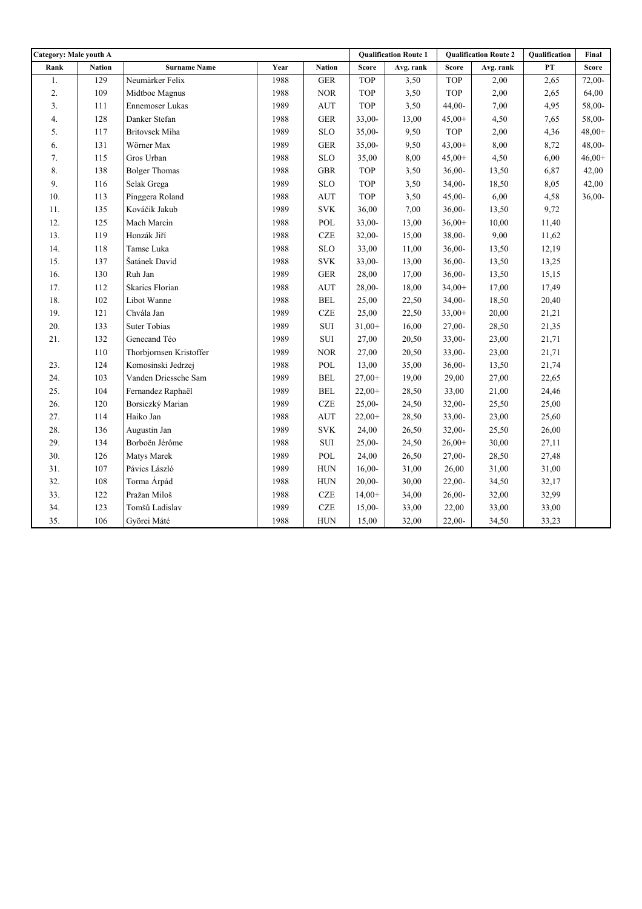| <b>Category: Male youth A</b> |               |                         |      | <b>Qualification Route 1</b> |            | <b>Qualification Route 2</b> |            | Qualification | Final         |              |
|-------------------------------|---------------|-------------------------|------|------------------------------|------------|------------------------------|------------|---------------|---------------|--------------|
| Rank                          | <b>Nation</b> | <b>Surname Name</b>     | Year | <b>Nation</b>                | Score      | Avg. rank                    | Score      | Avg. rank     | $\mathbf{PT}$ | <b>Score</b> |
| 1.                            | 129           | Neumärker Felix         | 1988 | <b>GER</b>                   | <b>TOP</b> | 3,50                         | TOP        | 2,00          | 2,65          | 72,00-       |
| 2.                            | 109           | Midtboe Magnus          | 1988 | $\rm{NOR}$                   | TOP        | 3,50                         | TOP        | 2,00          | 2,65          | 64,00        |
| $\overline{3}$ .              | 111           | Ennemoser Lukas         | 1989 | $\mathop{\rm AUT}$           | <b>TOP</b> | 3,50                         | $44,00-$   | 7,00          | 4,95          | 58,00-       |
| 4.                            | 128           | Danker Stefan           | 1988 | <b>GER</b>                   | $33,00-$   | 13,00                        | $45,00+$   | 4,50          | 7,65          | 58,00-       |
| 5.                            | 117           | Britovsek Miha          | 1989 | <b>SLO</b>                   | $35,00-$   | 9,50                         | <b>TOP</b> | 2,00          | 4,36          | $48,00+$     |
| 6.                            | 131           | Wörner Max              | 1989 | <b>GER</b>                   | $35,00-$   | 9,50                         | $43,00+$   | 8,00          | 8,72          | $48,00-$     |
| 7.                            | 115           | Gros Urban              | 1988 | <b>SLO</b>                   | 35,00      | 8,00                         | $45,00+$   | 4,50          | 6,00          | $46,00+$     |
| 8.                            | 138           | <b>Bolger Thomas</b>    | 1988 | $\operatorname{GBR}$         | <b>TOP</b> | 3,50                         | $36,00-$   | 13,50         | 6,87          | 42,00        |
| 9.                            | 116           | Selak Grega             | 1989 | <b>SLO</b>                   | <b>TOP</b> | 3,50                         | $34,00-$   | 18,50         | 8,05          | 42,00        |
| 10.                           | 113           | Pinggera Roland         | 1988 | <b>AUT</b>                   | <b>TOP</b> | 3,50                         | $45,00-$   | 6,00          | 4,58          | $36,00-$     |
| 11.                           | 135           | Kováčik Jakub           | 1989 | $\ensuremath{\mathrm{SVK}}$  | 36,00      | 7,00                         | $36,00-$   | 13,50         | 9,72          |              |
| 12.                           | 125           | Mach Marcin             | 1988 | $\operatorname{POL}$         | $33,00-$   | 13,00                        | $36,00+$   | 10,00         | 11,40         |              |
| 13.                           | 119           | Honzák Jiří             | 1988 | <b>CZE</b>                   | $32,00-$   | 15,00                        | 38,00-     | 9,00          | 11,62         |              |
| 14.                           | 118           | Tamse Luka              | 1988 | <b>SLO</b>                   | 33,00      | 11,00                        | $36,00-$   | 13,50         | 12,19         |              |
| 15.                           | 137           | Šatánek David           | 1988 | $\ensuremath{\text{SVK}}$    | $33,00-$   | 13,00                        | $36,00-$   | 13,50         | 13,25         |              |
| 16.                           | 130           | Ruh Jan                 | 1989 | ${\tt GER}$                  | 28,00      | 17,00                        | $36,00-$   | 13,50         | 15,15         |              |
| 17.                           | 112           | <b>Skarics Florian</b>  | 1988 | <b>AUT</b>                   | $28,00-$   | 18,00                        | $34,00+$   | 17,00         | 17,49         |              |
| $18. \,$                      | $102\,$       | Libot Wanne             | 1988 | $\operatorname{BEL}$         | 25,00      | 22,50                        | $34,00-$   | 18,50         | 20,40         |              |
| 19.                           | 121           | Chvála Jan              | 1989 | <b>CZE</b>                   | 25,00      | 22,50                        | $33,00+$   | 20,00         | 21,21         |              |
| 20.                           | 133           | <b>Suter Tobias</b>     | 1989 | $\rm SUI$                    | $31,00+$   | 16,00                        | 27,00-     | 28,50         | 21,35         |              |
| 21.                           | 132           | Genecand Téo            | 1989 | $\rm SUI$                    | 27,00      | 20,50                        | $33,00-$   | 23,00         | 21,71         |              |
|                               | 110           | Thorbjornsen Kristoffer | 1989 | $\rm NOR$                    | 27,00      | 20,50                        | 33,00-     | 23,00         | 21,71         |              |
| 23.                           | 124           | Komosinski Jedrzej      | 1988 | POL                          | 13,00      | 35,00                        | $36,00-$   | 13,50         | 21,74         |              |
| 24.                           | 103           | Vanden Driessche Sam    | 1989 | <b>BEL</b>                   | $27,00+$   | 19,00                        | 29,00      | 27,00         | 22,65         |              |
| 25.                           | 104           | Fernandez Raphaël       | 1989 | <b>BEL</b>                   | $22,00+$   | 28,50                        | 33,00      | 21,00         | 24,46         |              |
| 26.                           | 120           | Borsiczký Marian        | 1989 | <b>CZE</b>                   | $25,00-$   | 24,50                        | $32,00-$   | 25,50         | 25,00         |              |
| 27.                           | 114           | Haiko Jan               | 1988 | <b>AUT</b>                   | $22,00+$   | 28,50                        | 33,00-     | 23,00         | 25,60         |              |
| 28.                           | 136           | Augustin Jan            | 1989 | <b>SVK</b>                   | 24,00      | 26,50                        | $32,00-$   | 25,50         | 26,00         |              |
| 29.                           | 134           | Borboën Jérôme          | 1988 | ${\rm SUI}$                  | $25,00-$   | 24,50                        | $26,00+$   | 30,00         | 27,11         |              |
| 30.                           | 126           | Matys Marek             | 1989 | POL                          | 24,00      | 26,50                        | $27,00-$   | 28,50         | 27,48         |              |
| 31.                           | 107           | Pávics László           | 1989 | ${\rm HUN}$                  | $16,00-$   | 31,00                        | 26,00      | 31,00         | 31,00         |              |
| 32.                           | 108           | Torma Árpád             | 1988 | ${\rm HUN}$                  | $20,00-$   | 30,00                        | $22,00-$   | 34,50         | 32,17         |              |
| 33.                           | 122           | Pražan Miloš            | 1988 | $CZE$                        | $14,00+$   | 34,00                        | $26,00-$   | 32,00         | 32,99         |              |
| 34.                           | 123           | Tomšů Ladislav          | 1989 | <b>CZE</b>                   | $15,00-$   | 33,00                        | 22,00      | 33,00         | 33,00         |              |
| 35.                           | 106           | Györei Máté             | 1988 | <b>HUN</b>                   | 15,00      | 32,00                        | $22,00-$   | 34,50         | 33,23         |              |